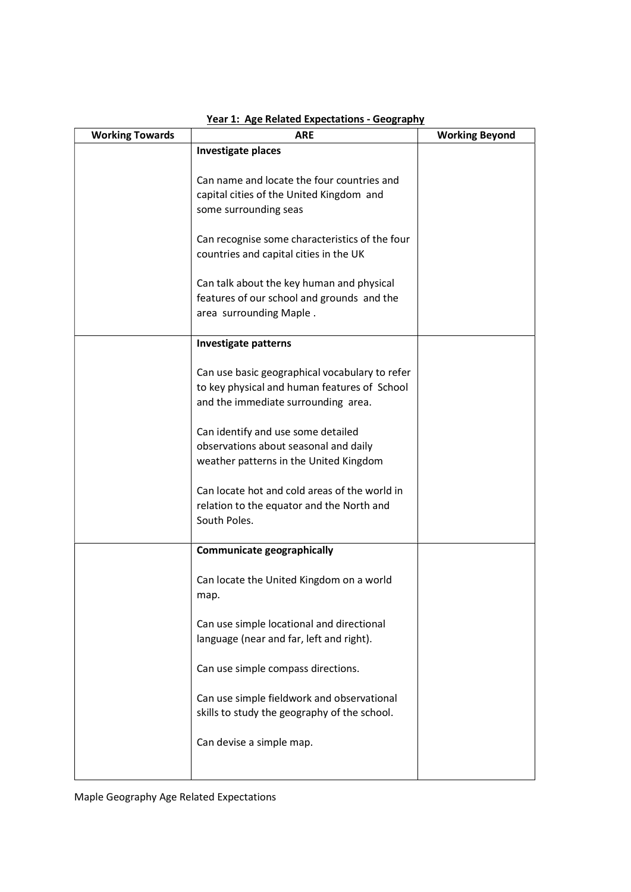| <b>Working Towards</b> | <b>ARE</b>                                                                                                                            | <b>Working Beyond</b> |
|------------------------|---------------------------------------------------------------------------------------------------------------------------------------|-----------------------|
|                        | <b>Investigate places</b>                                                                                                             |                       |
|                        | Can name and locate the four countries and<br>capital cities of the United Kingdom and<br>some surrounding seas                       |                       |
|                        | Can recognise some characteristics of the four<br>countries and capital cities in the UK                                              |                       |
|                        | Can talk about the key human and physical<br>features of our school and grounds and the<br>area surrounding Maple.                    |                       |
|                        | <b>Investigate patterns</b>                                                                                                           |                       |
|                        | Can use basic geographical vocabulary to refer<br>to key physical and human features of School<br>and the immediate surrounding area. |                       |
|                        | Can identify and use some detailed<br>observations about seasonal and daily<br>weather patterns in the United Kingdom                 |                       |
|                        | Can locate hot and cold areas of the world in<br>relation to the equator and the North and<br>South Poles.                            |                       |
|                        | <b>Communicate geographically</b>                                                                                                     |                       |
|                        | Can locate the United Kingdom on a world<br>map.                                                                                      |                       |
|                        | Can use simple locational and directional<br>language (near and far, left and right).                                                 |                       |
|                        | Can use simple compass directions.                                                                                                    |                       |
|                        | Can use simple fieldwork and observational<br>skills to study the geography of the school.                                            |                       |
|                        | Can devise a simple map.                                                                                                              |                       |
|                        |                                                                                                                                       |                       |

## Year 1: Age Related Expectations - Geography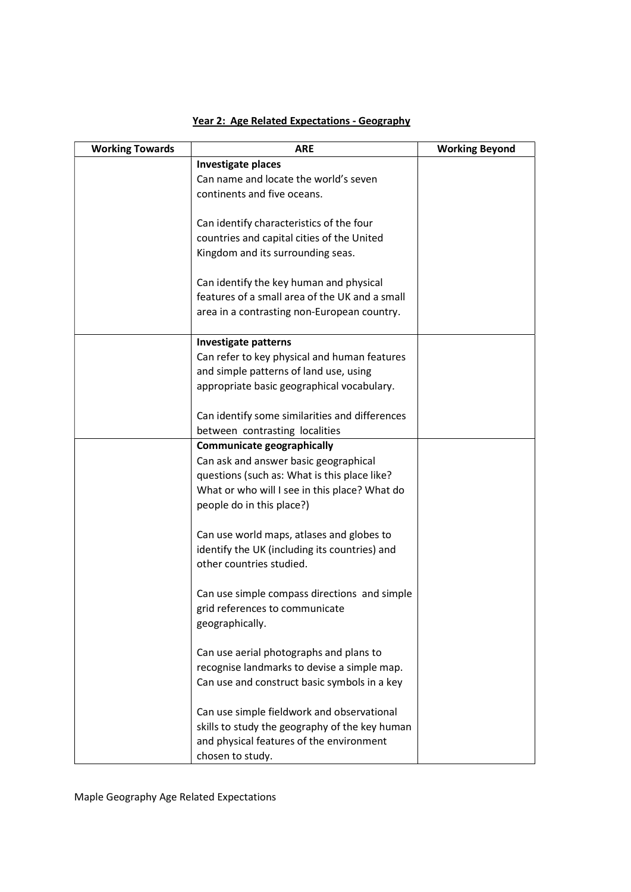| <b>Working Towards</b> | <b>ARE</b>                                                                                | <b>Working Beyond</b> |
|------------------------|-------------------------------------------------------------------------------------------|-----------------------|
|                        | <b>Investigate places</b>                                                                 |                       |
|                        | Can name and locate the world's seven                                                     |                       |
|                        | continents and five oceans.                                                               |                       |
|                        |                                                                                           |                       |
|                        | Can identify characteristics of the four                                                  |                       |
|                        | countries and capital cities of the United                                                |                       |
|                        | Kingdom and its surrounding seas.                                                         |                       |
|                        |                                                                                           |                       |
|                        | Can identify the key human and physical<br>features of a small area of the UK and a small |                       |
|                        | area in a contrasting non-European country.                                               |                       |
|                        |                                                                                           |                       |
|                        | <b>Investigate patterns</b>                                                               |                       |
|                        | Can refer to key physical and human features                                              |                       |
|                        | and simple patterns of land use, using                                                    |                       |
|                        | appropriate basic geographical vocabulary.                                                |                       |
|                        |                                                                                           |                       |
|                        | Can identify some similarities and differences                                            |                       |
|                        | between contrasting localities                                                            |                       |
|                        | <b>Communicate geographically</b>                                                         |                       |
|                        | Can ask and answer basic geographical                                                     |                       |
|                        | questions (such as: What is this place like?                                              |                       |
|                        | What or who will I see in this place? What do                                             |                       |
|                        | people do in this place?)                                                                 |                       |
|                        | Can use world maps, atlases and globes to                                                 |                       |
|                        | identify the UK (including its countries) and                                             |                       |
|                        | other countries studied.                                                                  |                       |
|                        |                                                                                           |                       |
|                        | Can use simple compass directions and simple                                              |                       |
|                        | grid references to communicate                                                            |                       |
|                        | geographically.                                                                           |                       |
|                        |                                                                                           |                       |
|                        | Can use aerial photographs and plans to                                                   |                       |
|                        | recognise landmarks to devise a simple map.                                               |                       |
|                        | Can use and construct basic symbols in a key                                              |                       |
|                        | Can use simple fieldwork and observational                                                |                       |
|                        | skills to study the geography of the key human                                            |                       |
|                        | and physical features of the environment                                                  |                       |
|                        | chosen to study.                                                                          |                       |

## Year 2: Age Related Expectations - Geography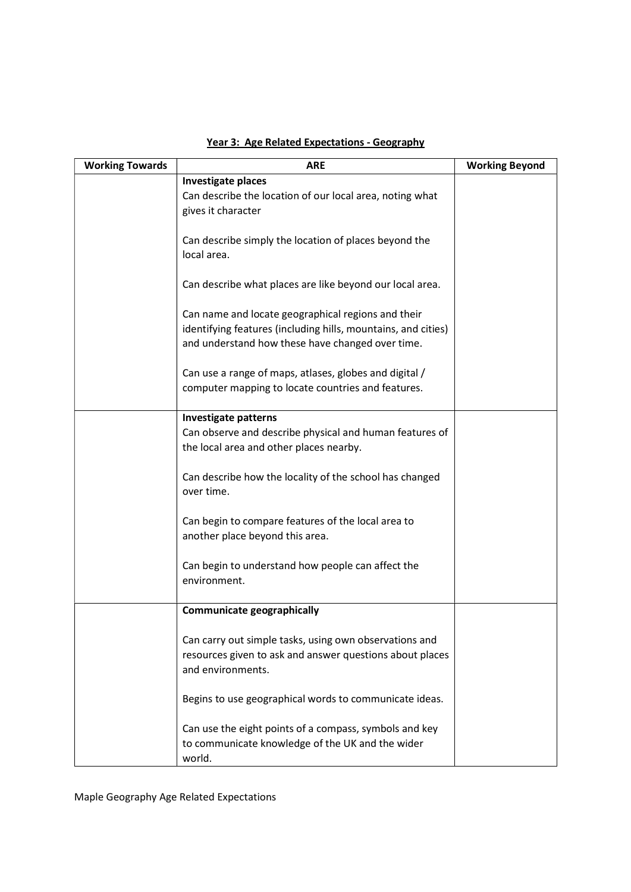| <b>Working Towards</b> | <b>ARE</b>                                                    | <b>Working Beyond</b> |
|------------------------|---------------------------------------------------------------|-----------------------|
|                        | <b>Investigate places</b>                                     |                       |
|                        | Can describe the location of our local area, noting what      |                       |
|                        | gives it character                                            |                       |
|                        |                                                               |                       |
|                        | Can describe simply the location of places beyond the         |                       |
|                        | local area.                                                   |                       |
|                        | Can describe what places are like beyond our local area.      |                       |
|                        | Can name and locate geographical regions and their            |                       |
|                        | identifying features (including hills, mountains, and cities) |                       |
|                        | and understand how these have changed over time.              |                       |
|                        |                                                               |                       |
|                        | Can use a range of maps, atlases, globes and digital /        |                       |
|                        | computer mapping to locate countries and features.            |                       |
|                        |                                                               |                       |
|                        | <b>Investigate patterns</b>                                   |                       |
|                        | Can observe and describe physical and human features of       |                       |
|                        | the local area and other places nearby.                       |                       |
|                        |                                                               |                       |
|                        | Can describe how the locality of the school has changed       |                       |
|                        | over time.                                                    |                       |
|                        |                                                               |                       |
|                        | Can begin to compare features of the local area to            |                       |
|                        | another place beyond this area.                               |                       |
|                        |                                                               |                       |
|                        | Can begin to understand how people can affect the             |                       |
|                        | environment.                                                  |                       |
|                        |                                                               |                       |
|                        | <b>Communicate geographically</b>                             |                       |
|                        | Can carry out simple tasks, using own observations and        |                       |
|                        | resources given to ask and answer questions about places      |                       |
|                        | and environments.                                             |                       |
|                        |                                                               |                       |
|                        | Begins to use geographical words to communicate ideas.        |                       |
|                        |                                                               |                       |
|                        | Can use the eight points of a compass, symbols and key        |                       |
|                        | to communicate knowledge of the UK and the wider              |                       |
|                        | world.                                                        |                       |

# Year 3: Age Related Expectations - Geography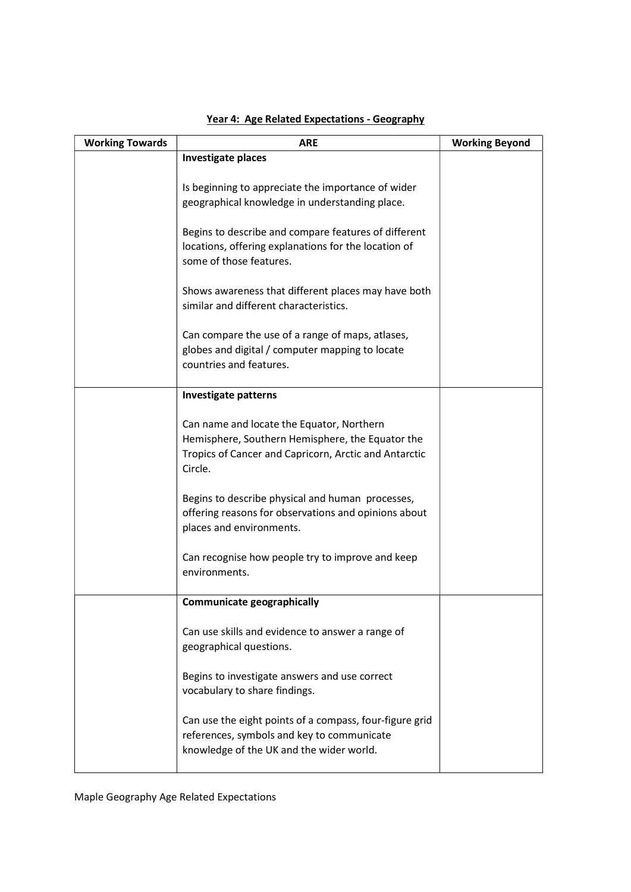| <b>Working Towards</b> | <b>ARE</b>                                                                                                                                                        | <b>Working Beyond</b> |
|------------------------|-------------------------------------------------------------------------------------------------------------------------------------------------------------------|-----------------------|
|                        | <b>Investigate places</b>                                                                                                                                         |                       |
|                        | Is beginning to appreciate the importance of wider<br>geographical knowledge in understanding place.                                                              |                       |
|                        | Begins to describe and compare features of different<br>locations, offering explanations for the location of<br>some of those features.                           |                       |
|                        | Shows awareness that different places may have both<br>similar and different characteristics.                                                                     |                       |
|                        | Can compare the use of a range of maps, atlases,<br>globes and digital / computer mapping to locate<br>countries and features.                                    |                       |
|                        | <b>Investigate patterns</b>                                                                                                                                       |                       |
|                        | Can name and locate the Equator, Northern<br>Hemisphere, Southern Hemisphere, the Equator the<br>Tropics of Cancer and Capricorn, Arctic and Antarctic<br>Circle. |                       |
|                        | Begins to describe physical and human processes,<br>offering reasons for observations and opinions about<br>places and environments.                              |                       |
|                        | Can recognise how people try to improve and keep<br>environments.                                                                                                 |                       |
|                        | Communicate geographically                                                                                                                                        |                       |
|                        | Can use skills and evidence to answer a range of<br>geographical questions.                                                                                       |                       |
|                        | Begins to investigate answers and use correct<br>vocabulary to share findings.                                                                                    |                       |
|                        | Can use the eight points of a compass, four-figure grid<br>references, symbols and key to communicate<br>knowledge of the UK and the wider world.                 |                       |

#### Year 4: Age Related Expectations - Geography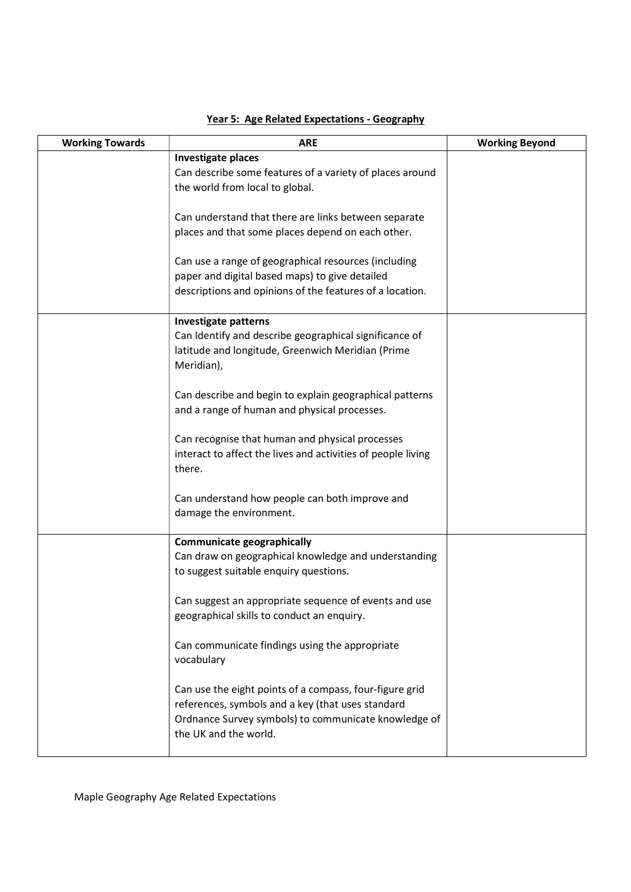| <b>Working Towards</b> | <b>ARE</b>                                                                            | <b>Working Beyond</b> |
|------------------------|---------------------------------------------------------------------------------------|-----------------------|
|                        | <b>Investigate places</b><br>Can describe some features of a variety of places around |                       |
|                        | the world from local to global.                                                       |                       |
|                        | Can understand that there are links between separate                                  |                       |
|                        | places and that some places depend on each other.                                     |                       |
|                        | Can use a range of geographical resources (including                                  |                       |
|                        | paper and digital based maps) to give detailed                                        |                       |
|                        | descriptions and opinions of the features of a location.                              |                       |
|                        | <b>Investigate patterns</b>                                                           |                       |
|                        | Can Identify and describe geographical significance of                                |                       |
|                        | latitude and longitude, Greenwich Meridian (Prime<br>Meridian),                       |                       |
|                        | Can describe and begin to explain geographical patterns                               |                       |
|                        | and a range of human and physical processes.                                          |                       |
|                        | Can recognise that human and physical processes                                       |                       |
|                        | interact to affect the lives and activities of people living<br>there.                |                       |
|                        | Can understand how people can both improve and                                        |                       |
|                        | damage the environment.                                                               |                       |
|                        | <b>Communicate geographically</b>                                                     |                       |
|                        | Can draw on geographical knowledge and understanding                                  |                       |
|                        | to suggest suitable enquiry questions.                                                |                       |
|                        | Can suggest an appropriate sequence of events and use                                 |                       |
|                        | geographical skills to conduct an enquiry.                                            |                       |
|                        | Can communicate findings using the appropriate                                        |                       |
|                        | vocabulary                                                                            |                       |
|                        | Can use the eight points of a compass, four-figure grid                               |                       |
|                        | references, symbols and a key (that uses standard                                     |                       |
|                        | Ordnance Survey symbols) to communicate knowledge of<br>the UK and the world.         |                       |
|                        |                                                                                       |                       |

## Year 5: Age Related Expectations - Geography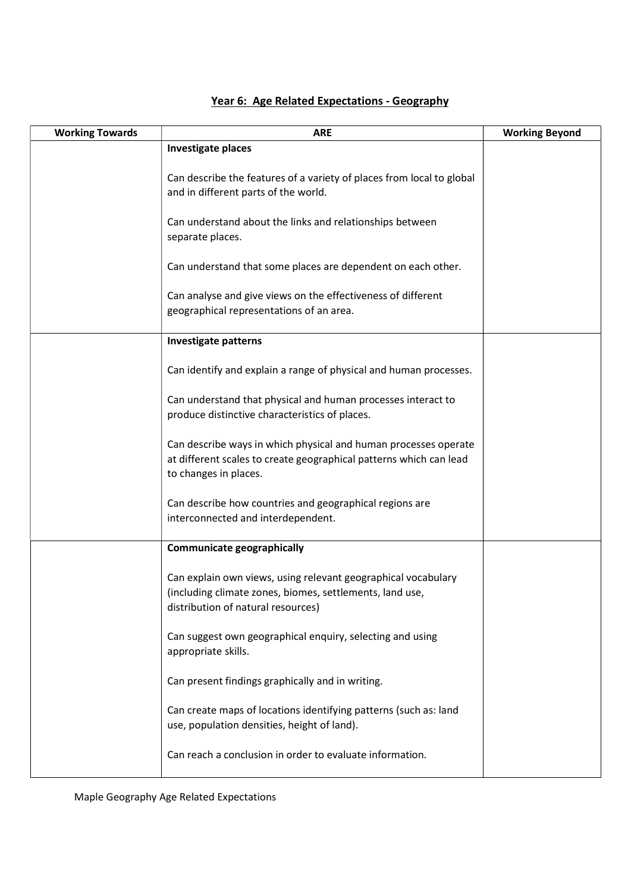| <b>Working Towards</b> | <b>ARE</b>                                                                                                                                                     | <b>Working Beyond</b> |
|------------------------|----------------------------------------------------------------------------------------------------------------------------------------------------------------|-----------------------|
|                        | <b>Investigate places</b>                                                                                                                                      |                       |
|                        | Can describe the features of a variety of places from local to global<br>and in different parts of the world.                                                  |                       |
|                        | Can understand about the links and relationships between<br>separate places.                                                                                   |                       |
|                        | Can understand that some places are dependent on each other.                                                                                                   |                       |
|                        | Can analyse and give views on the effectiveness of different<br>geographical representations of an area.                                                       |                       |
|                        | <b>Investigate patterns</b>                                                                                                                                    |                       |
|                        | Can identify and explain a range of physical and human processes.                                                                                              |                       |
|                        | Can understand that physical and human processes interact to<br>produce distinctive characteristics of places.                                                 |                       |
|                        | Can describe ways in which physical and human processes operate<br>at different scales to create geographical patterns which can lead<br>to changes in places. |                       |
|                        | Can describe how countries and geographical regions are<br>interconnected and interdependent.                                                                  |                       |
|                        | <b>Communicate geographically</b>                                                                                                                              |                       |
|                        | Can explain own views, using relevant geographical vocabulary<br>(including climate zones, biomes, settlements, land use<br>distribution of natural resources) |                       |
|                        | Can suggest own geographical enquiry, selecting and using<br>appropriate skills.                                                                               |                       |
|                        | Can present findings graphically and in writing.                                                                                                               |                       |
|                        | Can create maps of locations identifying patterns (such as: land<br>use, population densities, height of land).                                                |                       |
|                        | Can reach a conclusion in order to evaluate information.                                                                                                       |                       |

## Year 6: Age Related Expectations - Geography